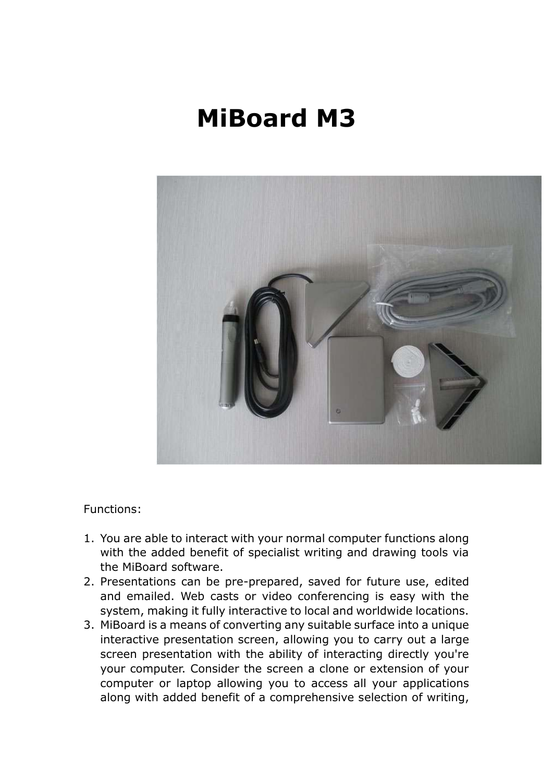# **MiBoard M3**



Functions:

- 1. You are able to interact with your normal computer functions along with the added benefit of specialist writing and drawing tools via the MiBoard software.
- 2. Presentations can be pre-prepared, saved for future use, edited and emailed. Web casts or video conferencing is easy with the system, making it fully interactive to local and worldwide locations.
- 3. MiBoard is a means of converting any suitable surface into a unique interactive presentation screen, allowing you to carry out a large screen presentation with the ability of interacting directly you're your computer. Consider the screen a clone or extension of your computer or laptop allowing you to access all your applications along with added benefit of a comprehensive selection of writing,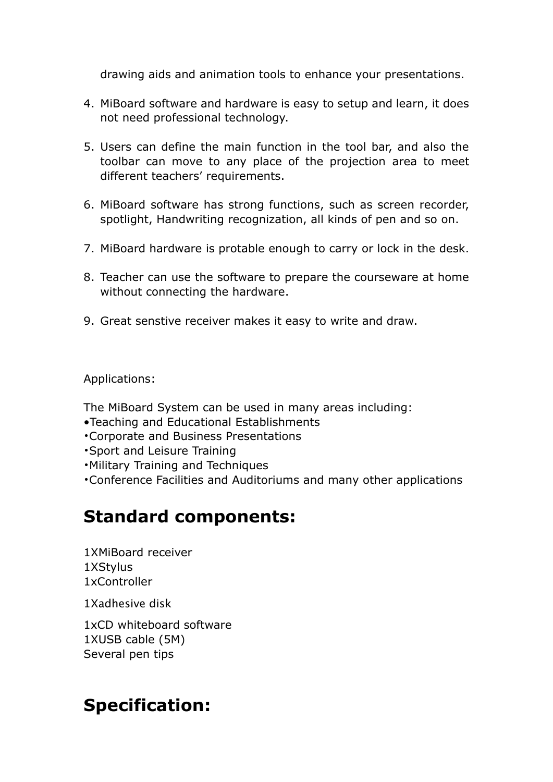drawing aids and animation tools to enhance your presentations.

- 4. MiBoard software and hardware is easy to setup and learn, it does not need professional technology.
- 5. Users can define the main function in the tool bar, and also the toolbar can move to any place of the projection area to meet different teachers' requirements.
- 6. MiBoard software has strong functions, such as screen recorder, spotlight, Handwriting recognization, all kinds of pen and so on.
- 7. MiBoard hardware is protable enough to carry or lock in the desk.
- 8. Teacher can use the software to prepare the courseware at home without connecting the hardware.
- 9. Great senstive receiver makes it easy to write and draw.

Applications:

The MiBoard System can be used in many areas including:

- •Teaching and Educational Establishments
- •Corporate and Business Presentations
- •Sport and Leisure Training
- •Military Training and Techniques
- •Conference Facilities and Auditoriums and many other applications

## **Standard components:**

1XMiBoard receiver 1XStylus 1xController

1Xadhesive disk

1xCD whiteboard software 1XUSB cable (5M) Several pen tips

#### **Specification:**